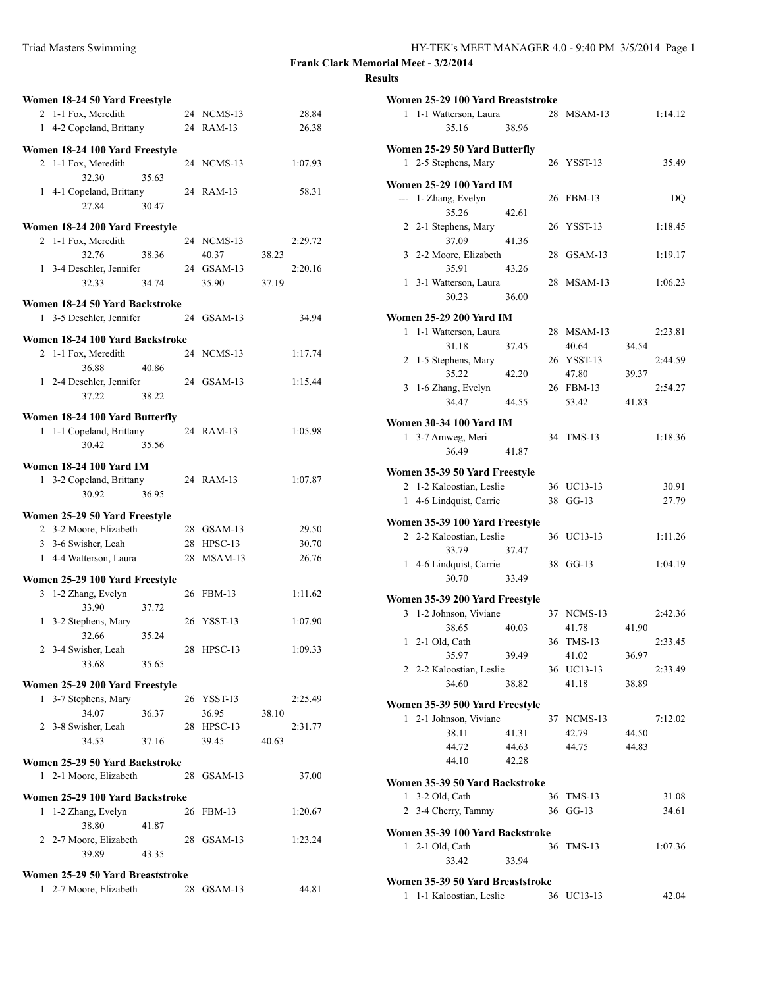| Triad Masters Swimming | HY-TEK's MEET MANAGER 4.0 - 9:40 PM 3/5/2014 Page 1 |
|------------------------|-----------------------------------------------------|
|------------------------|-----------------------------------------------------|

|                                  |            |         | <b>Results</b> |
|----------------------------------|------------|---------|----------------|
| Women 18-24 50 Yard Freestyle    |            |         | Wα             |
| 2 1-1 Fox, Meredith              | 24 NCMS-13 | 28.84   |                |
| 1 4-2 Copeland, Brittany         | 24 RAM-13  | 26.38   |                |
| Women 18-24 100 Yard Freestyle   |            |         | Wα             |
| 2 1-1 Fox, Meredith              | 24 NCMS-13 | 1:07.93 |                |
| 32.30<br>35.63                   |            |         | W <sub>0</sub> |
| 1 4-1 Copeland, Brittany         | 24 RAM-13  | 58.31   |                |
| 27.84<br>30.47                   |            |         |                |
| Women 18-24 200 Yard Freestyle   |            |         |                |
| 2 1-1 Fox, Meredith              | 24 NCMS-13 | 2:29.72 |                |
| 32.76<br>38.36                   | 40.37      | 38.23   |                |
| 1 3-4 Deschler, Jennifer         | 24 GSAM-13 | 2:20.16 |                |
| 32.33<br>34.74                   | 35.90      | 37.19   |                |
| Women 18-24 50 Yard Backstroke   |            |         |                |
| 1 3-5 Deschler, Jennifer         | 24 GSAM-13 | 34.94   | Wα             |
| Women 18-24 100 Yard Backstroke  |            |         |                |
| 2 1-1 Fox, Meredith              | 24 NCMS-13 | 1:17.74 |                |
| 36.88<br>40.86                   |            |         |                |
| 1 2-4 Deschler, Jennifer         | 24 GSAM-13 | 1:15.44 |                |
| 37.22<br>38.22                   |            |         |                |
| Women 18-24 100 Yard Butterfly   |            |         |                |
| 1 1-1 Copeland, Brittany         | 24 RAM-13  | 1:05.98 | Wα             |
| 30.42<br>35.56                   |            |         |                |
| <b>Women 18-24 100 Yard IM</b>   |            |         |                |
| 1 3-2 Copeland, Brittany         | 24 RAM-13  | 1:07.87 | Wα             |
| 30.92<br>36.95                   |            |         |                |
| Women 25-29 50 Yard Freestyle    |            |         |                |
| 2 3-2 Moore, Elizabeth           | 28 GSAM-13 | 29.50   | Wα             |
| 3 3-6 Swisher, Leah              | 28 HPSC-13 | 30.70   |                |
| 1 4-4 Watterson, Laura           | 28 MSAM-13 | 26.76   |                |
| Women 25-29 100 Yard Freestyle   |            |         |                |
| 3 1-2 Zhang, Evelyn              | 26 FBM-13  | 1:11.62 |                |
| 33.90<br>37.72                   |            |         | Wα             |
| 1 3-2 Stephens, Mary             | 26 YSST-13 | 1:07.90 |                |
| 32.66<br>35.24                   |            |         |                |
| 2 3-4 Swisher, Leah              | 28 HPSC-13 | 1:09.33 |                |
| 33.68<br>35.65                   |            |         |                |
| Women 25-29 200 Yard Freestyle   |            |         |                |
| 1 3-7 Stephens, Mary             | 26 YSST-13 | 2:25.49 | W <sub>0</sub> |
| 34.07<br>36.37                   | 36.95      | 38.10   |                |
| 2 3-8 Swisher, Leah              | 28 HPSC-13 | 2:31.77 |                |
| 34.53<br>37.16                   | 39.45      | 40.63   |                |
| Women 25-29 50 Yard Backstroke   |            |         |                |
| 1 2-1 Moore, Elizabeth           | 28 GSAM-13 | 37.00   | Wα             |
| Women 25-29 100 Yard Backstroke  |            |         |                |
| 1 1-2 Zhang, Evelyn              | 26 FBM-13  | 1:20.67 |                |
| 38.80<br>41.87                   |            |         |                |
| 2 2-7 Moore, Elizabeth           | 28 GSAM-13 | 1:23.24 | Wα             |
| 39.89<br>43.35                   |            |         |                |
| Women 25-29 50 Yard Breaststroke |            |         |                |
| 1 2-7 Moore, Elizabeth           | 28 GSAM-13 | 44.81   | W <sub>0</sub> |
|                                  |            |         |                |

|                                 | Women 25-29 100 Yard Breaststroke                     |       |    |            |       |         |
|---------------------------------|-------------------------------------------------------|-------|----|------------|-------|---------|
|                                 | 1 1-1 Watterson, Laura                                |       |    | 28 MSAM-13 |       | 1:14.12 |
|                                 | 35.16                                                 | 38.96 |    |            |       |         |
|                                 |                                                       |       |    |            |       |         |
|                                 | Women 25-29 50 Yard Butterfly<br>1 2-5 Stephens, Mary |       |    | 26 YSST-13 |       | 35.49   |
|                                 |                                                       |       |    |            |       |         |
|                                 | Women 25-29 100 Yard IM                               |       |    |            |       |         |
|                                 | --- 1- Zhang, Evelyn                                  |       |    | 26 FBM-13  |       | DQ      |
|                                 | 35.26                                                 | 42.61 |    |            |       |         |
|                                 | 2 2-1 Stephens, Mary                                  |       |    | 26 YSST-13 |       | 1:18.45 |
|                                 | 37.09                                                 | 41.36 |    |            |       |         |
|                                 | 3 2-2 Moore, Elizabeth                                |       |    | 28 GSAM-13 |       | 1:19.17 |
|                                 | 35.91                                                 | 43.26 |    |            |       |         |
|                                 | 1 3-1 Watterson, Laura                                |       |    | 28 MSAM-13 |       | 1:06.23 |
|                                 | 30.23                                                 | 36.00 |    |            |       |         |
|                                 |                                                       |       |    |            |       |         |
|                                 | <b>Women 25-29 200 Yard IM</b>                        |       |    |            |       |         |
|                                 | 1 1-1 Watterson, Laura                                |       |    | 28 MSAM-13 |       | 2:23.81 |
|                                 | 31.18                                                 | 37.45 |    | 40.64      | 34.54 |         |
|                                 | 2 1-5 Stephens, Mary                                  |       |    | 26 YSST-13 |       | 2:44.59 |
|                                 | 35.22                                                 | 42.20 |    | 47.80      | 39.37 |         |
|                                 | 3 1-6 Zhang, Evelyn                                   |       |    | 26 FBM-13  |       | 2:54.27 |
|                                 | 34.47                                                 | 44.55 |    | 53.42      | 41.83 |         |
|                                 | Women 30-34 100 Yard IM                               |       |    |            |       |         |
|                                 | 1 3-7 Amweg, Meri                                     |       |    | 34 TMS-13  |       | 1:18.36 |
|                                 | 36.49                                                 | 41.87 |    |            |       |         |
|                                 |                                                       |       |    |            |       |         |
|                                 | Women 35-39 50 Yard Freestyle                         |       |    |            |       |         |
|                                 | 2 1-2 Kaloostian, Leslie                              |       |    | 36 UC13-13 |       | 30.91   |
|                                 | 1 4-6 Lindquist, Carrie                               |       |    | 38 GG-13   |       | 27.79   |
|                                 | Women 35-39 100 Yard Freestyle                        |       |    |            |       |         |
|                                 | 2 2-2 Kaloostian, Leslie                              |       |    | 36 UC13-13 |       | 1:11.26 |
|                                 | 33.79                                                 | 37.47 |    |            |       |         |
|                                 | 1 4-6 Lindquist, Carrie                               |       |    | 38 GG-13   |       | 1:04.19 |
|                                 | 30.70                                                 | 33.49 |    |            |       |         |
|                                 |                                                       |       |    |            |       |         |
|                                 | Women 35-39 200 Yard Freestyle                        |       |    |            |       |         |
|                                 | 3 1-2 Johnson, Viviane                                |       |    | 37 NCMS-13 |       | 2:42.36 |
|                                 | 38.65                                                 | 40.03 |    | 41.78      | 41.90 |         |
| 1                               | 2-1 Old, Cath                                         |       | 36 | $TMS-13$   |       | 2:33.45 |
|                                 | 35.97                                                 | 39.49 |    | 41.02      | 36.97 |         |
|                                 | 2 2-2 Kaloostian, Leslie                              |       |    | 36 UC13-13 |       | 2:33.49 |
|                                 | 34.60                                                 | 38.82 |    | 41.18      | 38.89 |         |
|                                 | Women 35-39 500 Yard Freestyle                        |       |    |            |       |         |
|                                 | 1 2-1 Johnson, Viviane                                |       |    | 37 NCMS-13 |       | 7:12.02 |
|                                 | 38.11                                                 | 41.31 |    | 42.79      | 44.50 |         |
|                                 | 44.72                                                 | 44.63 |    | 44.75      | 44.83 |         |
|                                 | 44.10                                                 | 42.28 |    |            |       |         |
|                                 |                                                       |       |    |            |       |         |
|                                 | Women 35-39 50 Yard Backstroke                        |       |    |            |       |         |
|                                 | 1 3-2 Old, Cath                                       |       |    | 36 TMS-13  |       | 31.08   |
|                                 | 2 3-4 Cherry, Tammy                                   |       |    | 36 GG-13   |       | 34.61   |
| Women 35-39 100 Yard Backstroke |                                                       |       |    |            |       |         |
|                                 |                                                       |       |    |            |       |         |
|                                 | 1 2-1 Old, Cath                                       |       |    | 36 TMS-13  |       | 1:07.36 |
|                                 | 33.42                                                 | 33.94 |    |            |       |         |
|                                 | Women 35-39 50 Yard Breaststroke                      |       |    |            |       |         |
|                                 | 1 1-1 Kaloostian, Leslie                              |       |    | 36 UC13-13 |       | 42.04   |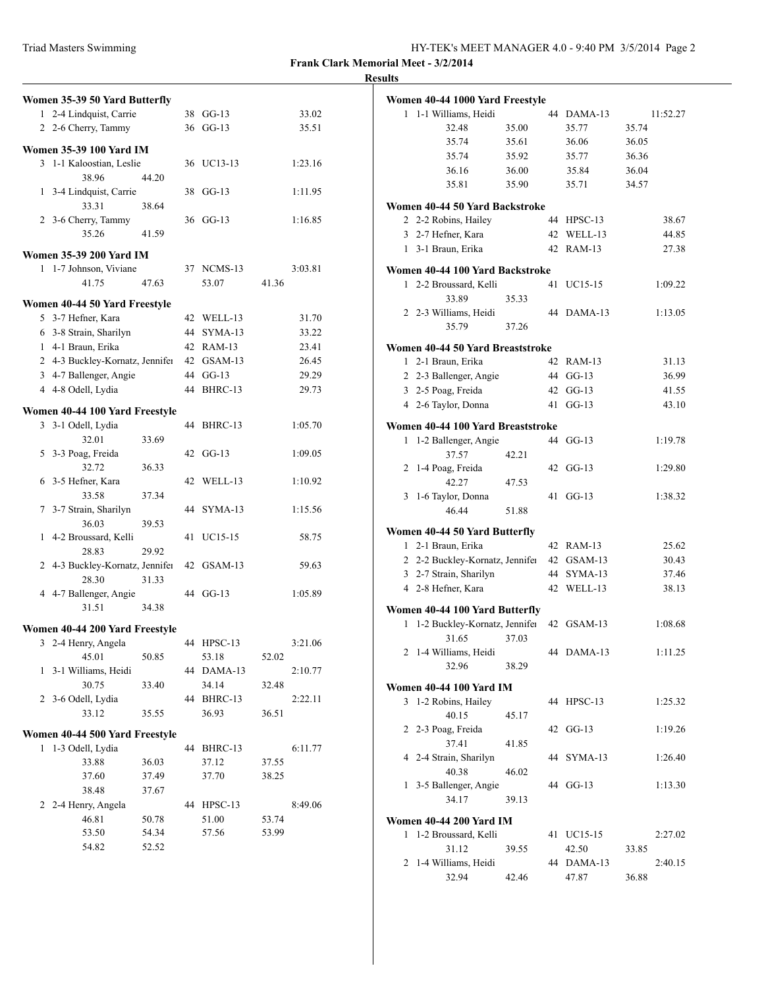| Triad Masters Swimming | HY-TEK's MEET MANAGER 4.0 - 9:40 PM 3/5/2014 Page 2 |
|------------------------|-----------------------------------------------------|
|------------------------|-----------------------------------------------------|

|                | Women 35-39 50 Yard Butterfly   |       |    |            |       |         |
|----------------|---------------------------------|-------|----|------------|-------|---------|
|                | 1 2-4 Lindquist, Carrie         |       |    | 38 GG-13   |       | 33.02   |
|                | 2 2-6 Cherry, Tammy             |       |    | 36 GG-13   |       | 35.51   |
|                |                                 |       |    |            |       |         |
|                | Women 35-39 100 Yard IM         |       |    |            |       |         |
|                | 3 1-1 Kaloostian, Leslie        |       |    | 36 UC13-13 |       | 1:23.16 |
|                | 38.96                           | 44.20 |    |            |       |         |
|                | 1 3-4 Lindquist, Carrie         |       | 38 | $GG-13$    |       | 1:11.95 |
|                | 33.31                           | 38.64 |    |            |       |         |
|                | 2 3-6 Cherry, Tammy             |       |    | 36 GG-13   |       | 1:16.85 |
|                | 35.26                           | 41.59 |    |            |       |         |
|                | <b>Women 35-39 200 Yard IM</b>  |       |    |            |       |         |
|                | 1 1-7 Johnson, Viviane          |       |    | 37 NCMS-13 |       | 3:03.81 |
|                | 41.75                           | 47.63 |    | 53.07      | 41.36 |         |
|                | Women 40-44 50 Yard Freestyle   |       |    |            |       |         |
|                | 5 3-7 Hefner, Kara              |       |    | 42 WELL-13 |       | 31.70   |
|                | 6 3-8 Strain, Sharilyn          |       |    | 44 SYMA-13 |       | 33.22   |
|                | 1 4-1 Braun, Erika              |       |    | 42 RAM-13  |       | 23.41   |
|                | 2 4-3 Buckley-Kornatz, Jennifer |       |    | 42 GSAM-13 |       | 26.45   |
|                | 3 4-7 Ballenger, Angie          |       |    | 44 GG-13   |       | 29.29   |
|                | 4 4-8 Odell, Lydia              |       |    | 44 BHRC-13 |       | 29.73   |
|                |                                 |       |    |            |       |         |
|                | Women 40-44 100 Yard Freestyle  |       |    |            |       |         |
|                | 3 3-1 Odell, Lydia              |       | 44 | BHRC-13    |       | 1:05.70 |
|                | 32.01                           | 33.69 |    |            |       |         |
|                | 5 3-3 Poag, Freida              |       |    | 42 GG-13   |       | 1:09.05 |
|                | 32.72                           | 36.33 |    |            |       |         |
|                | 6 3-5 Hefner, Kara              |       | 42 | WELL-13    |       | 1:10.92 |
|                | 33.58                           | 37.34 |    |            |       |         |
|                | 7 3-7 Strain, Sharilyn          |       |    | 44 SYMA-13 |       | 1:15.56 |
|                | 36.03                           | 39.53 |    |            |       |         |
|                | 1 4-2 Broussard, Kelli          |       | 41 | UC15-15    |       | 58.75   |
|                | 28.83                           | 29.92 |    |            |       |         |
|                | 2 4-3 Buckley-Kornatz, Jennifer |       |    | 42 GSAM-13 |       | 59.63   |
|                | 28.30                           | 31.33 |    | 44 GG-13   |       | 1:05.89 |
|                | 4 4-7 Ballenger, Angie<br>31.51 |       |    |            |       |         |
|                |                                 | 34.38 |    |            |       |         |
|                | Women 40-44 200 Yard Freestyle  |       |    |            |       |         |
| 3              | 2-4 Henry, Angela               |       |    | 44 HPSC-13 |       | 3:21.06 |
|                | 45.01                           | 50.85 |    | 53.18      | 52.02 |         |
| 1              | 3-1 Williams, Heidi             |       | 44 | DAMA-13    |       | 2:10.77 |
|                | 30.75                           | 33.40 |    | 34.14      | 32.48 |         |
|                | 2 3-6 Odell, Lydia              |       | 44 | BHRC-13    |       | 2:22.11 |
|                | 33.12                           | 35.55 |    | 36.93      | 36.51 |         |
|                | Women 40-44 500 Yard Freestyle  |       |    |            |       |         |
| 1              | 1-3 Odell, Lydia                |       | 44 | BHRC-13    |       | 6:11.77 |
|                | 33.88                           | 36.03 |    | 37.12      | 37.55 |         |
|                | 37.60                           | 37.49 |    | 37.70      | 38.25 |         |
|                | 38.48                           | 37.67 |    |            |       |         |
| $\overline{2}$ | 2-4 Henry, Angela               |       | 44 | $HPSC-13$  |       | 8:49.06 |
|                | 46.81                           | 50.78 |    | 51.00      | 53.74 |         |
|                | 53.50                           | 54.34 |    | 57.56      | 53.99 |         |
|                | 54.82                           | 52.52 |    |            |       |         |
|                |                                 |       |    |            |       |         |

| <b>Results</b> |   |                                              |       |                         |          |
|----------------|---|----------------------------------------------|-------|-------------------------|----------|
|                |   | Women 40-44 1000 Yard Freestyle              |       |                         |          |
|                |   | 1 1-1 Williams, Heidi                        |       | 44 DAMA-13              | 11:52.27 |
|                |   | 32.48                                        | 35.00 | 35.77                   | 35.74    |
|                |   | 35.74                                        | 35.61 | 36.06                   | 36.05    |
|                |   | 35.74                                        | 35.92 | 35.77                   | 36.36    |
|                |   | 36.16                                        | 36.00 | 35.84                   | 36.04    |
|                |   |                                              |       |                         |          |
|                |   | 35.81                                        | 35.90 | 35.71                   | 34.57    |
|                |   | Women 40-44 50 Yard Backstroke               |       |                         |          |
|                |   | 2 2-2 Robins, Hailey                         |       | 44 HPSC-13              | 38.67    |
|                |   | 3 2-7 Hefner, Kara                           |       | 42 WELL-13              | 44.85    |
|                |   | 1 3-1 Braun, Erika                           |       | 42 RAM-13               | 27.38    |
|                |   | Women 40-44 100 Yard Backstroke              |       |                         |          |
|                |   | 1 2-2 Broussard, Kelli                       |       | 41 UC15-15              | 1:09.22  |
|                |   | 33.89                                        | 35.33 |                         |          |
|                |   | 2 2-3 Williams, Heidi                        |       | 44 DAMA-13              | 1:13.05  |
|                |   | 35.79                                        | 37.26 |                         |          |
|                |   |                                              |       |                         |          |
|                |   | Women 40-44 50 Yard Breaststroke             |       |                         |          |
|                |   | 1 2-1 Braun, Erika                           |       | 42 RAM-13               | 31.13    |
|                |   | 2 2-3 Ballenger, Angie                       |       | 44 GG-13                | 36.99    |
|                |   | 3 2-5 Poag, Freida                           |       | 42 GG-13                | 41.55    |
|                |   | 4 2-6 Taylor, Donna                          |       | 41 GG-13                | 43.10    |
|                |   | Women 40-44 100 Yard Breaststroke            |       |                         |          |
|                |   | 1 1-2 Ballenger, Angie                       |       | 44 GG-13                | 1:19.78  |
|                |   | 37.57                                        | 42.21 |                         |          |
|                |   | 2 1-4 Poag, Freida                           |       | 42 GG-13                | 1:29.80  |
|                |   | 42.27                                        | 47.53 |                         |          |
|                |   | 3 1-6 Taylor, Donna                          |       | 41 GG-13                | 1:38.32  |
|                |   | 46.44                                        | 51.88 |                         |          |
|                |   |                                              |       |                         |          |
|                |   | Women 40-44 50 Yard Butterfly                |       |                         |          |
|                |   | 1 2-1 Braun, Erika                           |       | 42 RAM-13<br>42 GSAM-13 | 25.62    |
|                |   | 2 2-2 Buckley-Kornatz, Jennifer              |       |                         | 30.43    |
|                |   | 3 2-7 Strain, Sharilyn<br>4 2-8 Hefner, Kara |       | 44 SYMA-13              | 37.46    |
|                |   |                                              |       | 42 WELL-13              | 38.13    |
|                |   | Women 40-44 100 Yard Butterfly               |       |                         |          |
|                | 1 | 1-2 Buckley-Kornatz, Jennifer                |       | 42 GSAM-13              | 1:08.68  |
|                |   | 31.65                                        | 37.03 |                         |          |
|                |   | 2 1-4 Williams, Heidi                        |       | 44 DAMA-13              | 1:11.25  |
|                |   | 32.96                                        | 38.29 |                         |          |
|                |   | <b>Women 40-44 100 Yard IM</b>               |       |                         |          |
|                |   | 3 1-2 Robins, Hailey                         |       | 44 HPSC-13              | 1:25.32  |
|                |   | 40.15                                        | 45.17 |                         |          |
|                |   | 2 2-3 Poag, Freida                           |       | 42 GG-13                | 1:19.26  |
|                |   | 37.41                                        | 41.85 |                         |          |
|                |   | 4 2-4 Strain, Sharilyn                       |       | 44 SYMA-13              | 1:26.40  |
|                |   | 40.38                                        | 46.02 |                         |          |
|                |   | 1 3-5 Ballenger, Angie                       |       | 44 GG-13                | 1:13.30  |
|                |   | 34.17                                        | 39.13 |                         |          |
|                |   |                                              |       |                         |          |
|                |   | <b>Women 40-44 200 Yard IM</b>               |       |                         |          |
|                |   | 1 1-2 Broussard, Kelli                       |       | 41 UC15-15              | 2:27.02  |
|                |   | 31.12                                        | 39.55 | 42.50                   | 33.85    |
|                |   | 2 1-4 Williams, Heidi                        |       | 44 DAMA-13              | 2:40.15  |
|                |   | 32.94                                        | 42.46 | 47.87                   | 36.88    |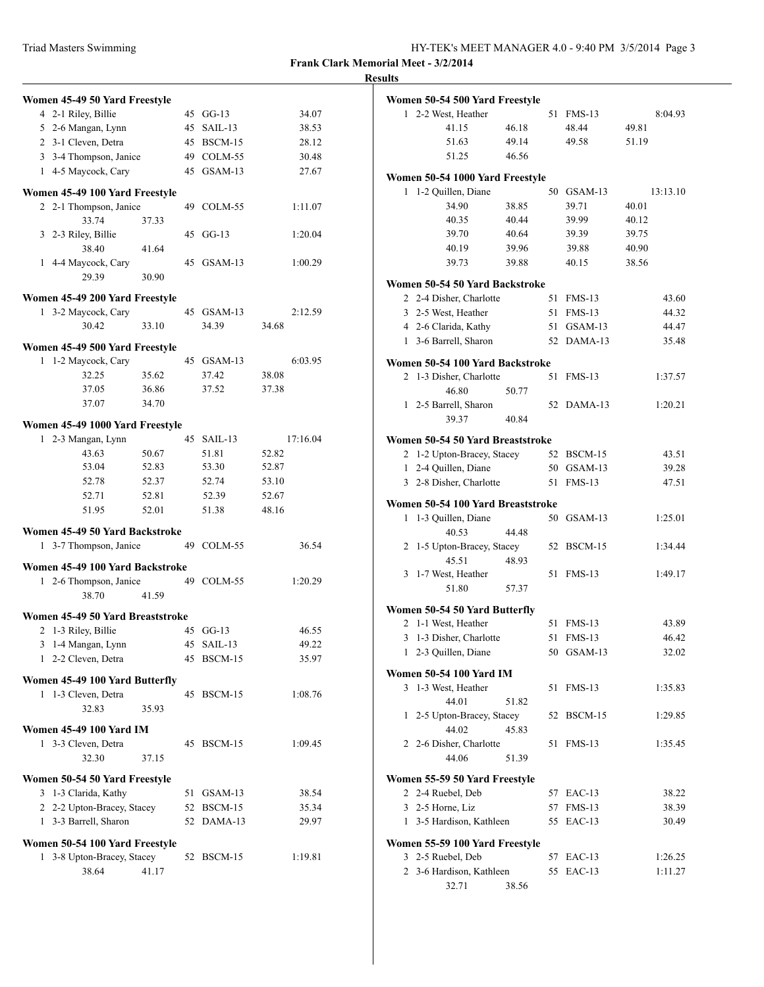|                               | Women 45-49 50 Yard Freestyle                       |                |    |                |                |
|-------------------------------|-----------------------------------------------------|----------------|----|----------------|----------------|
|                               | 4 2-1 Riley, Billie                                 |                | 45 | $GG-13$        | 34.07          |
|                               | 5 2-6 Mangan, Lynn                                  |                | 45 | SAIL-13        | 38.53          |
|                               | 2 3-1 Cleven, Detra                                 |                |    | 45 BSCM-15     | 28.12          |
|                               | 3 3-4 Thompson, Janice                              |                |    | 49 COLM-55     | 30.48          |
|                               | 1 4-5 Maycock, Cary                                 |                |    | 45 GSAM-13     | 27.67          |
|                               |                                                     |                |    |                |                |
|                               | Women 45-49 100 Yard Freestyle                      |                |    |                |                |
|                               | 2 2-1 Thompson, Janice                              |                |    | 49 COLM-55     | 1:11.07        |
|                               | 33.74                                               | 37.33          |    |                |                |
|                               | 3 2-3 Riley, Billie                                 |                | 45 | $GG-13$        | 1:20.04        |
|                               | 38.40                                               | 41.64          |    |                |                |
|                               | 1 4-4 Maycock, Cary                                 |                | 45 | GSAM-13        | 1:00.29        |
|                               | 29.39                                               | 30.90          |    |                |                |
|                               | Women 45-49 200 Yard Freestyle                      |                |    |                |                |
|                               | 1 3-2 Maycock, Cary                                 |                |    | 45 GSAM-13     | 2:12.59        |
|                               | 30.42                                               | 33.10          |    | 34.39          | 34.68          |
|                               |                                                     |                |    |                |                |
| 1                             | Women 45-49 500 Yard Freestyle<br>1-2 Maycock, Cary |                |    | 45 GSAM-13     | 6:03.95        |
|                               | 32.25                                               |                |    |                |                |
|                               | 37.05                                               | 35.62<br>36.86 |    | 37.42<br>37.52 | 38.08<br>37.38 |
|                               | 37.07                                               | 34.70          |    |                |                |
|                               |                                                     |                |    |                |                |
|                               | Women 45-49 1000 Yard Freestyle                     |                |    |                |                |
| 1                             | 2-3 Mangan, Lynn                                    |                | 45 | SAIL-13        | 17:16.04       |
|                               | 43.63                                               | 50.67          |    | 51.81          | 52.82          |
|                               | 53.04                                               | 52.83          |    | 53.30          | 52.87          |
|                               | 52.78                                               | 52.37          |    | 52.74          | 53.10          |
|                               | 52.71                                               | 52.81          |    | 52.39          | 52.67          |
|                               | 51.95                                               | 52.01          |    | 51.38          | 48.16          |
|                               | Women 45-49 50 Yard Backstroke                      |                |    |                |                |
| 1                             | 3-7 Thompson, Janice                                |                |    | 49 COLM-55     | 36.54          |
|                               | Women 45-49 100 Yard Backstroke                     |                |    |                |                |
|                               | 1 2-6 Thompson, Janice                              |                |    | 49 COLM-55     | 1:20.29        |
|                               | 38.70                                               | 41.59          |    |                |                |
|                               |                                                     |                |    |                |                |
|                               | Women 45-49 50 Yard Breaststroke                    |                |    |                |                |
|                               | 2 1-3 Riley, Billie                                 |                |    | 45 GG-13       | 46.55          |
|                               | 3 1-4 Mangan, Lynn                                  |                | 45 | SAIL-13        | 49.22          |
|                               | 1 2-2 Cleven, Detra                                 |                | 45 | BSCM-15        | 35.97          |
|                               | Women 45-49 100 Yard Butterfly                      |                |    |                |                |
| 1                             | 1-3 Cleven, Detra                                   |                | 45 | BSCM-15        | 1:08.76        |
|                               | 32.83                                               | 35.93          |    |                |                |
|                               |                                                     |                |    |                |                |
|                               | <b>Women 45-49 100 Yard IM</b>                      |                |    |                |                |
|                               | 1 3-3 Cleven, Detra                                 |                | 45 | BSCM-15        | 1:09.45        |
|                               | 32.30                                               | 37.15          |    |                |                |
| Women 50-54 50 Yard Freestyle |                                                     |                |    |                |                |
|                               | 3 1-3 Clarida, Kathy                                |                | 51 | GSAM-13        | 38.54          |
|                               | 2 2-2 Upton-Bracey, Stacey                          |                | 52 | BSCM-15        | 35.34          |
| 1                             | 3-3 Barrell, Sharon                                 |                | 52 | DAMA-13        | 29.97          |
|                               |                                                     |                |    |                |                |
|                               | Women 50-54 100 Yard Freestyle                      |                |    |                |                |
|                               | 1 3-8 Upton-Bracey, Stacey                          |                | 52 | BSCM-15        | 1:19.81        |
|                               | 38.64                                               | 41.17          |    |                |                |

| <b>Results</b> |                                   |       |    |               |          |
|----------------|-----------------------------------|-------|----|---------------|----------|
|                | Women 50-54 500 Yard Freestyle    |       |    |               |          |
|                | 1 2-2 West, Heather               |       |    | 51 FMS-13     | 8:04.93  |
|                | 41.15                             | 46.18 |    | 48.44         | 49.81    |
|                | 51.63                             | 49.14 |    | 49.58         | 51.19    |
|                | 51.25                             | 46.56 |    |               |          |
|                | Women 50-54 1000 Yard Freestyle   |       |    |               |          |
| 1              | 1-2 Quillen, Diane                |       |    | 50 GSAM-13    | 13:13.10 |
|                | 34.90                             | 38.85 |    | 39.71         | 40.01    |
|                | 40.35                             | 40.44 |    | 39.99         | 40.12    |
|                | 39.70                             | 40.64 |    | 39.39         | 39.75    |
|                | 40.19                             | 39.96 |    | 39.88         | 40.90    |
|                | 39.73                             | 39.88 |    | 40.15         | 38.56    |
|                | Women 50-54 50 Yard Backstroke    |       |    |               |          |
|                | 2 2-4 Disher, Charlotte           |       |    | 51 FMS-13     | 43.60    |
|                | 3 2-5 West, Heather               |       |    | 51 FMS-13     | 44.32    |
|                | 4 2-6 Clarida, Kathy              |       |    | 51 GSAM-13    | 44.47    |
|                | 1 3-6 Barrell, Sharon             |       |    | 52 DAMA-13    | 35.48    |
|                | Women 50-54 100 Yard Backstroke   |       |    |               |          |
|                | 2 1-3 Disher, Charlotte           |       | 51 | $FMS-13$      | 1:37.57  |
|                | 46.80                             | 50.77 |    |               |          |
|                | 1 2-5 Barrell, Sharon             |       |    | 52 DAMA-13    | 1:20.21  |
|                | 39.37                             | 40.84 |    |               |          |
|                | Women 50-54 50 Yard Breaststroke  |       |    |               |          |
|                | 2 1-2 Upton-Bracey, Stacey        |       |    | 52 BSCM-15    | 43.51    |
|                | 1 2-4 Quillen, Diane              |       |    | 50 GSAM-13    | 39.28    |
|                | 3 2-8 Disher, Charlotte           |       |    | 51 FMS-13     | 47.51    |
|                | Women 50-54 100 Yard Breaststroke |       |    |               |          |
|                | 1 1-3 Quillen, Diane              |       |    | 50 GSAM-13    | 1:25.01  |
|                | 40.53                             | 44.48 |    |               |          |
|                | 2 1-5 Upton-Bracey, Stacey        |       |    | 52 BSCM-15    | 1:34.44  |
|                | 45.51                             | 48.93 |    |               |          |
|                | 3 1-7 West, Heather               |       |    | 51 FMS-13     | 1:49.17  |
|                | 51.80                             | 57.37 |    |               |          |
|                | Women 50-54 50 Yard Butterfly     |       |    |               |          |
| 2              | 1-1 West, Heather                 |       |    | 51 FMS-13     | 43.89    |
|                | 3 1-3 Disher, Charlotte           |       | 51 | <b>FMS-13</b> | 46.42    |
| $\mathbf{1}$   | 2-3 Quillen, Diane                |       |    | 50 GSAM-13    | 32.02    |
|                | <b>Women 50-54 100 Yard IM</b>    |       |    |               |          |
|                | 3 1-3 West, Heather               |       | 51 | <b>FMS-13</b> | 1:35.83  |
|                | 44.01                             | 51.82 |    |               |          |
| $\mathbf{1}$   | 2-5 Upton-Bracey, Stacey          |       | 52 | BSCM-15       | 1:29.85  |
|                | 44.02                             | 45.83 |    |               |          |
|                | 2 2-6 Disher, Charlotte           |       | 51 | <b>FMS-13</b> | 1:35.45  |
|                | 44.06                             | 51.39 |    |               |          |
|                | Women 55-59 50 Yard Freestyle     |       |    |               |          |
|                | 2 2-4 Ruebel, Deb                 |       | 57 | $EAC-13$      | 38.22    |
|                | 3 2-5 Horne, Liz                  |       |    | 57 FMS-13     | 38.39    |
|                | 1 3-5 Hardison, Kathleen          |       |    | 55 EAC-13     | 30.49    |
|                | Women 55-59 100 Yard Freestyle    |       |    |               |          |
|                | 3 2-5 Ruebel, Deb                 |       | 57 | $EAC-13$      | 1:26.25  |
|                | 2 3-6 Hardison, Kathleen          |       | 55 | $EAC-13$      | 1:11.27  |
|                |                                   |       |    |               |          |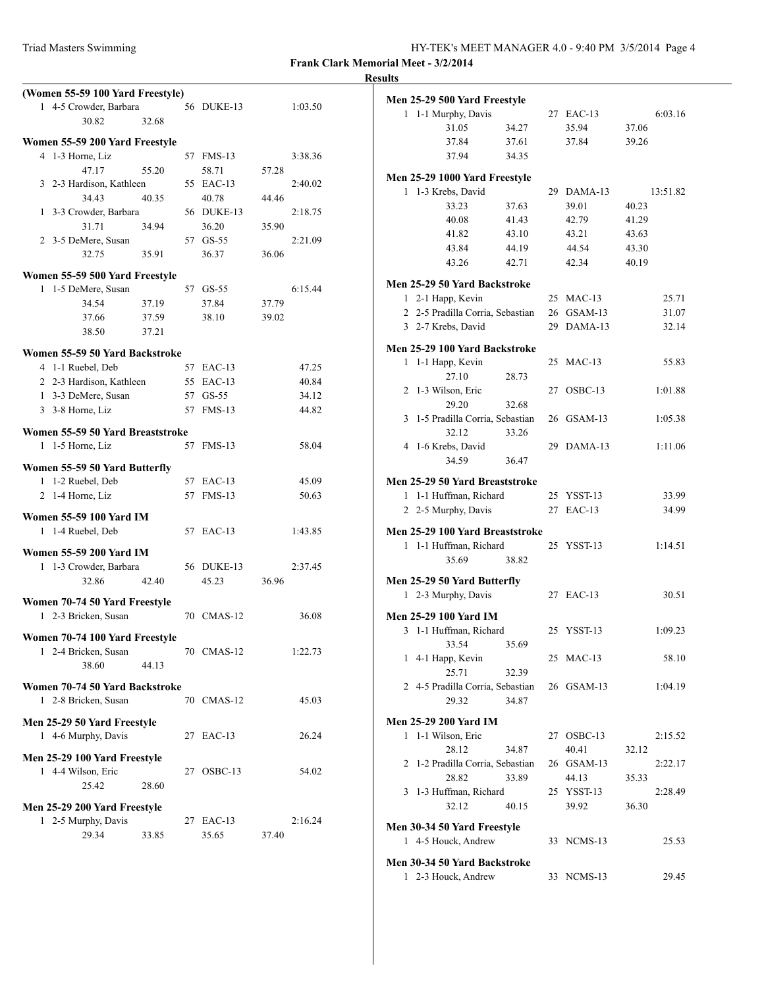| Triad Masters Swimming | HY-TEK's MEET MANAGER 4.0 - 9:40 PM 3/5/2014 Page 4 |
|------------------------|-----------------------------------------------------|
|------------------------|-----------------------------------------------------|

**Frank Clark Memorial Meet - 3/2/2014 Results**

|   | (Women 55-59 100 Yard Freestyle) |       |    |            |       |         |
|---|----------------------------------|-------|----|------------|-------|---------|
|   | 1 4-5 Crowder, Barbara           |       |    | 56 DUKE-13 |       | 1:03.50 |
|   | 30.82                            | 32.68 |    |            |       |         |
|   | Women 55-59 200 Yard Freestyle   |       |    |            |       |         |
|   | 4 1-3 Horne, Liz                 |       |    | 57 FMS-13  |       | 3:38.36 |
|   | 47.17                            | 55.20 |    | 58.71      | 57.28 |         |
|   | 3 2-3 Hardison, Kathleen         |       |    | 55 EAC-13  |       | 2:40.02 |
|   | 34.43                            | 40.35 |    | 40.78      | 44.46 |         |
|   | 1 3-3 Crowder, Barbara           |       |    | 56 DUKE-13 |       | 2:18.75 |
|   | 31.71                            | 34.94 |    | 36.20      | 35.90 |         |
|   | 2 3-5 DeMere, Susan              |       |    | 57 GS-55   |       | 2:21.09 |
|   | 32.75                            | 35.91 |    | 36.37      | 36.06 |         |
|   |                                  |       |    |            |       |         |
|   | Women 55-59 500 Yard Freestyle   |       |    |            |       |         |
| 1 | 1-5 DeMere, Susan                |       |    | 57 GS-55   |       | 6:15.44 |
|   | 34.54                            | 37.19 |    | 37.84      | 37.79 |         |
|   | 37.66                            | 37.59 |    | 38.10      | 39.02 |         |
|   | 38.50                            | 37.21 |    |            |       |         |
|   | Women 55-59 50 Yard Backstroke   |       |    |            |       |         |
|   | 4 1-1 Ruebel, Deb                |       |    | 57 EAC-13  |       | 47.25   |
|   | 2 2-3 Hardison, Kathleen         |       |    | 55 EAC-13  |       | 40.84   |
|   | 1 3-3 DeMere, Susan              |       |    | 57 GS-55   |       | 34.12   |
|   | 3 3-8 Horne, Liz                 |       |    | 57 FMS-13  |       | 44.82   |
|   | Women 55-59 50 Yard Breaststroke |       |    |            |       |         |
|   | 1 1-5 Horne, Liz                 |       | 57 | $FMS-13$   |       | 58.04   |
|   |                                  |       |    |            |       |         |
|   | Women 55-59 50 Yard Butterfly    |       |    |            |       |         |
|   | 1 1-2 Ruebel, Deb                |       |    | 57 EAC-13  |       | 45.09   |
| 2 | 1-4 Horne, Liz                   |       | 57 | $FMS-13$   |       | 50.63   |
|   | Women 55-59 100 Yard IM          |       |    |            |       |         |
|   | 1 1-4 Ruebel, Deb                |       |    | 57 EAC-13  |       | 1:43.85 |
|   |                                  |       |    |            |       |         |
|   | <b>Women 55-59 200 Yard IM</b>   |       |    |            |       |         |
|   | 1 1-3 Crowder, Barbara           |       |    | 56 DUKE-13 |       | 2:37.45 |
|   | 32.86                            | 42.40 |    | 45.23      | 36.96 |         |
|   | Women 70-74 50 Yard Freestyle    |       |    |            |       |         |
| 1 | 2-3 Bricken, Susan               |       |    | 70 CMAS-12 |       | 36.08   |
|   |                                  |       |    |            |       |         |
| 1 | Women 70-74 100 Yard Freestyle   |       |    |            |       |         |
|   | 2-4 Bricken, Susan<br>38.60      | 44.13 |    | 70 CMAS-12 |       | 1:22.73 |
|   |                                  |       |    |            |       |         |
|   | Women 70-74 50 Yard Backstroke   |       |    |            |       |         |
|   | 1 2-8 Bricken, Susan             |       |    | 70 CMAS-12 |       | 45.03   |
|   | Men 25-29 50 Yard Freestyle      |       |    |            |       |         |
|   | 1 4-6 Murphy, Davis              |       |    | 27 EAC-13  |       | 26.24   |
|   |                                  |       |    |            |       |         |
|   | Men 25-29 100 Yard Freestyle     |       |    |            |       |         |
|   | 1 4-4 Wilson, Eric               |       | 27 | $OSBC-13$  |       | 54.02   |
|   | 25.42                            | 28.60 |    |            |       |         |
|   | Men 25-29 200 Yard Freestyle     |       |    |            |       |         |
|   | 1 2-5 Murphy, Davis              |       | 27 | $EAC-13$   |       | 2:16.24 |
|   | 29.34                            | 33.85 |    | 35.65      | 37.40 |         |
|   |                                  |       |    |            |       |         |

|   | Men 25-29 500 Yard Freestyle     |                |                |                |          |
|---|----------------------------------|----------------|----------------|----------------|----------|
| 1 | 1-1 Murphy, Davis                |                | 27 EAC-13      |                | 6:03.16  |
|   | 31.05                            | 34.27          | 35.94          | 37.06          |          |
|   | 37.84                            | 37.61          | 37.84          | 39.26          |          |
|   | 37.94                            | 34.35          |                |                |          |
|   |                                  |                |                |                |          |
|   | Men 25-29 1000 Yard Freestyle    |                |                |                |          |
| 1 | 1-3 Krebs, David                 |                | 29 DAMA-13     |                | 13:51.82 |
|   | 33.23<br>40.08                   | 37.63          | 39.01<br>42.79 | 40.23          |          |
|   |                                  | 41.43<br>43.10 |                | 41.29          |          |
|   | 41.82                            | 44.19          | 43.21<br>44.54 | 43.63          |          |
|   | 43.84<br>43.26                   | 42.71          | 42.34          | 43.30<br>40.19 |          |
|   |                                  |                |                |                |          |
|   | Men 25-29 50 Yard Backstroke     |                |                |                |          |
|   | 1 2-1 Happ, Kevin                |                | 25 MAC-13      |                | 25.71    |
|   | 2 2-5 Pradilla Corria, Sebastian |                | 26 GSAM-13     |                | 31.07    |
|   | 3 2-7 Krebs, David               |                | 29 DAMA-13     |                | 32.14    |
|   | Men 25-29 100 Yard Backstroke    |                |                |                |          |
| 1 | 1-1 Happ, Kevin                  |                | 25 MAC-13      |                | 55.83    |
|   | 27.10                            | 28.73          |                |                |          |
|   | 2 1-3 Wilson, Eric               |                | 27 OSBC-13     |                | 1:01.88  |
|   | 29.20                            | 32.68          |                |                |          |
|   | 3 1-5 Pradilla Corria, Sebastian |                | 26 GSAM-13     |                | 1:05.38  |
|   | 32.12                            | 33.26          |                |                |          |
|   | 4 1-6 Krebs, David               |                | 29 DAMA-13     |                | 1:11.06  |
|   | 34.59                            | 36.47          |                |                |          |
|   | Men 25-29 50 Yard Breaststroke   |                |                |                |          |
|   | 1 1-1 Huffman, Richard           |                | 25 YSST-13     |                | 33.99    |
|   | 2 2-5 Murphy, Davis              |                | 27 EAC-13      |                | 34.99    |
|   |                                  |                |                |                |          |
|   | Men 25-29 100 Yard Breaststroke  |                |                |                |          |
|   | 1 1-1 Huffman, Richard<br>35.69  | 38.82          | 25 YSST-13     |                | 1:14.51  |
|   |                                  |                |                |                |          |
|   | Men 25-29 50 Yard Butterfly      |                |                |                |          |
|   | 1 2-3 Murphy, Davis              |                | 27 EAC-13      |                | 30.51    |
|   | Men 25-29 100 Yard IM            |                |                |                |          |
|   | 3 1-1 Huffman, Richard           |                | 25 YSST-13     |                | 1:09.23  |
|   | 33.54                            | 35.69          |                |                |          |
|   | 1 4-1 Happ, Kevin                |                | 25 MAC-13      |                | 58.10    |
|   | 25.71                            | 32.39          |                |                |          |
|   | 2 4-5 Pradilla Corria, Sebastian |                | 26 GSAM-13     |                | 1:04.19  |
|   | 29.32                            | 34.87          |                |                |          |
|   | <b>Men 25-29 200 Yard IM</b>     |                |                |                |          |
|   | 1 1-1 Wilson, Eric               |                | 27 OSBC-13     |                | 2:15.52  |
|   | 28.12                            | 34.87          | 40.41          | 32.12          |          |
|   | 2 1-2 Pradilla Corria, Sebastian |                | 26 GSAM-13     |                | 2:22.17  |
|   | 28.82                            | 33.89          | 44.13          | 35.33          |          |
|   | 3 1-3 Huffman, Richard           |                | 25 YSST-13     |                | 2:28.49  |
|   | 32.12                            | 40.15          | 39.92          | 36.30          |          |
|   |                                  |                |                |                |          |
|   | Men 30-34 50 Yard Freestyle      |                |                |                |          |
|   | 1 4-5 Houck, Andrew              |                | 33 NCMS-13     |                | 25.53    |
|   | Men 30-34 50 Yard Backstroke     |                |                |                |          |
|   | 1 2-3 Houck, Andrew              |                | 33 NCMS-13     |                | 29.45    |
|   |                                  |                |                |                |          |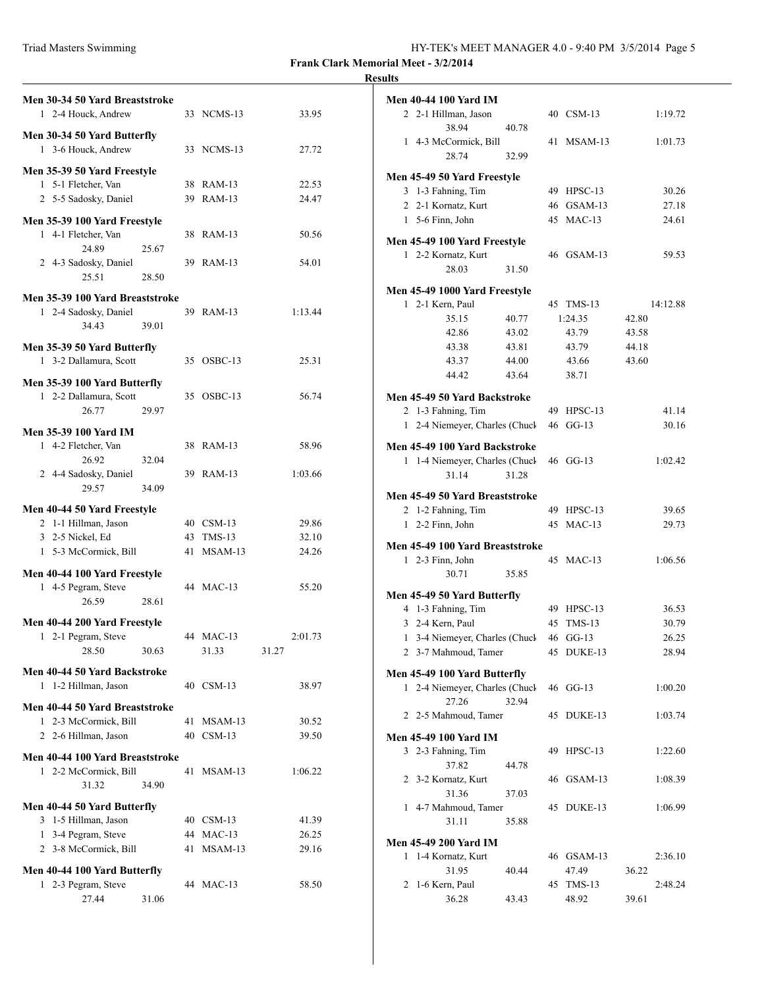| Triad Masters Swimming | HY-TEK's MEET MANAGER 4.0 - 9:40 PM 3/5/2014 Page 5 |
|------------------------|-----------------------------------------------------|
|------------------------|-----------------------------------------------------|

## **Results**

| Men 30-34 50 Yard Breaststroke<br>1 2-4 Houck, Andrew                       |                |    | 33 NCMS-13              | 33.95            |
|-----------------------------------------------------------------------------|----------------|----|-------------------------|------------------|
| Men 30-34 50 Yard Butterfly<br>1 3-6 Houck, Andrew                          |                |    | 33 NCMS-13              | 27.72            |
| Men 35-39 50 Yard Freestyle<br>1 5-1 Fletcher, Van<br>2 5-5 Sadosky, Daniel |                |    | 38 RAM-13<br>39 RAM-13  | 22.53<br>24.47   |
| Men 35-39 100 Yard Freestyle                                                |                |    |                         |                  |
| 1 4-1 Fletcher, Van<br>24.89                                                | 25.67          |    | 38 RAM-13               | 50.56            |
| 2 4-3 Sadosky, Daniel<br>25.51                                              | 28.50          |    | 39 RAM-13               | 54.01            |
| Men 35-39 100 Yard Breaststroke<br>1 2-4 Sadosky, Daniel<br>34.43           | 39.01          |    | 39 RAM-13               | 1:13.44          |
| Men 35-39 50 Yard Butterfly<br>1 3-2 Dallamura, Scott                       |                |    | 35 OSBC-13              | 25.31            |
| Men 35-39 100 Yard Butterfly<br>1 2-2 Dallamura, Scott<br>26.77             | 29.97          |    | 35 OSBC-13              | 56.74            |
| <b>Men 35-39 100 Yard IM</b><br>1 4-2 Fletcher, Van                         |                |    | 38 RAM-13               | 58.96            |
| 26.92<br>2 4-4 Sadosky, Daniel<br>29.57                                     | 32.04<br>34.09 | 39 | $RAM-13$                | 1:03.66          |
| Men 40-44 50 Yard Freestyle                                                 |                |    |                         |                  |
| 2 1-1 Hillman, Jason                                                        |                |    | 40 CSM-13               | 29.86            |
| 3 2-5 Nickel, Ed<br>1 5-3 McCormick, Bill                                   |                |    | 43 TMS-13<br>41 MSAM-13 | 32.10<br>24.26   |
| Men 40-44 100 Yard Freestyle<br>1 4-5 Pegram, Steve<br>26.59                | 28.61          |    | 44 MAC-13               | 55.20            |
| Men 40-44 200 Yard Freestyle                                                |                |    |                         |                  |
| 2-1 Pegram, Steve<br>1<br>28.50                                             | 30.63          |    | 44 MAC-13<br>31.33      | 2:01.73<br>31.27 |
| Men 40-44 50 Yard Backstroke<br>1 1-2 Hillman, Jason                        |                |    | 40 CSM-13               | 38.97            |
| Men 40-44 50 Yard Breaststroke                                              |                |    |                         |                  |
| 1 2-3 McCormick, Bill                                                       |                | 41 | MSAM-13                 | 30.52            |
| 2 2-6 Hillman, Jason                                                        |                | 40 | $CSM-13$                | 39.50            |
| Men 40-44 100 Yard Breaststroke                                             |                |    |                         |                  |
| 1 2-2 McCormick, Bill<br>31.32                                              | 34.90          | 41 | $MSAM-13$               | 1:06.22          |
| Men 40-44 50 Yard Butterfly                                                 |                |    |                         |                  |
| 3 1-5 Hillman, Jason                                                        |                |    | 40 CSM-13               | 41.39            |
| 1 3-4 Pegram, Steve                                                         |                |    | 44 MAC-13               | 26.25            |
| 2 3-8 McCormick, Bill                                                       |                |    | 41 MSAM-13              | 29.16            |
| Men 40-44 100 Yard Butterfly<br>1 2-3 Pegram, Steve<br>27.44                | 31.06          |    | 44 MAC-13               | 58.50            |

|   | <b>Men 40-44 100 Yard IM</b>                       |       |    |            |       |          |
|---|----------------------------------------------------|-------|----|------------|-------|----------|
|   | 2 2-1 Hillman, Jason<br>38.94                      | 40.78 |    | 40 CSM-13  |       | 1:19.72  |
|   | 1 4-3 McCormick, Bill                              |       | 41 | MSAM-13    |       | 1:01.73  |
|   | 28.74                                              | 32.99 |    |            |       |          |
|   | Men 45-49 50 Yard Freestyle                        |       |    |            |       |          |
|   | 3 1-3 Fahning, Tim                                 |       |    | 49 HPSC-13 |       | 30.26    |
|   | 2 2-1 Kornatz, Kurt                                |       |    | 46 GSAM-13 |       | 27.18    |
|   | 1 5-6 Finn, John                                   |       |    | 45 MAC-13  |       | 24.61    |
|   | Men 45-49 100 Yard Freestyle                       |       |    |            |       |          |
|   | 1 2-2 Kornatz, Kurt                                |       |    | 46 GSAM-13 |       | 59.53    |
|   | 28.03                                              | 31.50 |    |            |       |          |
|   | Men 45-49 1000 Yard Freestyle                      |       |    |            |       |          |
|   | 1 2-1 Kern, Paul                                   |       |    | 45 TMS-13  |       | 14:12.88 |
|   | 35.15                                              | 40.77 |    | 1:24.35    | 42.80 |          |
|   | 42.86                                              | 43.02 |    | 43.79      | 43.58 |          |
|   | 43.38                                              | 43.81 |    | 43.79      | 44.18 |          |
|   | 43.37                                              | 44.00 |    | 43.66      | 43.60 |          |
|   | 44.42                                              | 43.64 |    | 38.71      |       |          |
|   |                                                    |       |    |            |       |          |
|   | Men 45-49 50 Yard Backstroke<br>2 1-3 Fahning, Tim |       |    | 49 HPSC-13 |       | 41.14    |
|   | 1 2-4 Niemeyer, Charles (Chuck                     |       |    | 46 GG-13   |       | 30.16    |
|   |                                                    |       |    |            |       |          |
|   | Men 45-49 100 Yard Backstroke                      |       |    |            |       |          |
|   | 1 1-4 Niemeyer, Charles (Chuck                     |       |    | 46 GG-13   |       | 1:02.42  |
|   | 31.14                                              | 31.28 |    |            |       |          |
|   | Men 45-49 50 Yard Breaststroke                     |       |    |            |       |          |
|   | 2 1-2 Fahning, Tim                                 |       |    | 49 HPSC-13 |       | 39.65    |
|   | 1 2-2 Finn, John                                   |       | 45 | $MAC-13$   |       | 29.73    |
|   | Men 45-49 100 Yard Breaststroke                    |       |    |            |       |          |
|   | 1 2-3 Finn, John                                   |       |    | 45 MAC-13  |       | 1:06.56  |
|   | 30.71                                              | 35.85 |    |            |       |          |
|   | Men 45-49 50 Yard Butterfly                        |       |    |            |       |          |
|   | 4 1-3 Fahning, Tim                                 |       |    | 49 HPSC-13 |       | 36.53    |
|   | 3 2-4 Kern, Paul                                   |       | 45 | $TMS-13$   |       | 30.79    |
| 1 | 3-4 Niemeyer, Charles (Chuck                       |       |    | 46 GG-13   |       | 26.25    |
|   | 2 3-7 Mahmoud, Tamer                               |       |    | 45 DUKE-13 |       | 28.94    |
|   |                                                    |       |    |            |       |          |
|   | Men 45-49 100 Yard Butterfly                       |       |    |            |       |          |
|   | 1 2-4 Niemeyer, Charles (Chuck<br>27.26            | 32.94 |    | 46 GG-13   |       | 1:00.20  |
|   | 2 2-5 Mahmoud, Tamer                               |       |    | 45 DUKE-13 |       | 1:03.74  |
|   | <b>Men 45-49 100 Yard IM</b>                       |       |    |            |       |          |
|   | 3 2-3 Fahning, Tim                                 |       | 49 | HPSC-13    |       | 1:22.60  |
|   | 37.82                                              | 44.78 |    |            |       |          |
|   | 2 3-2 Kornatz, Kurt                                |       |    | 46 GSAM-13 |       | 1:08.39  |
|   | 31.36                                              | 37.03 |    |            |       |          |
|   | 1 4-7 Mahmoud, Tamer                               |       |    | 45 DUKE-13 |       | 1:06.99  |
|   | 31.11                                              | 35.88 |    |            |       |          |
|   | <b>Men 45-49 200 Yard IM</b>                       |       |    |            |       |          |
|   | 1 1-4 Kornatz, Kurt                                |       |    | 46 GSAM-13 |       | 2:36.10  |
|   | 31.95                                              | 40.44 |    | 47.49      | 36.22 |          |
|   | 2 1-6 Kern, Paul                                   |       | 45 | $TMS-13$   |       | 2:48.24  |
|   | 36.28                                              | 43.43 |    | 48.92      | 39.61 |          |
|   |                                                    |       |    |            |       |          |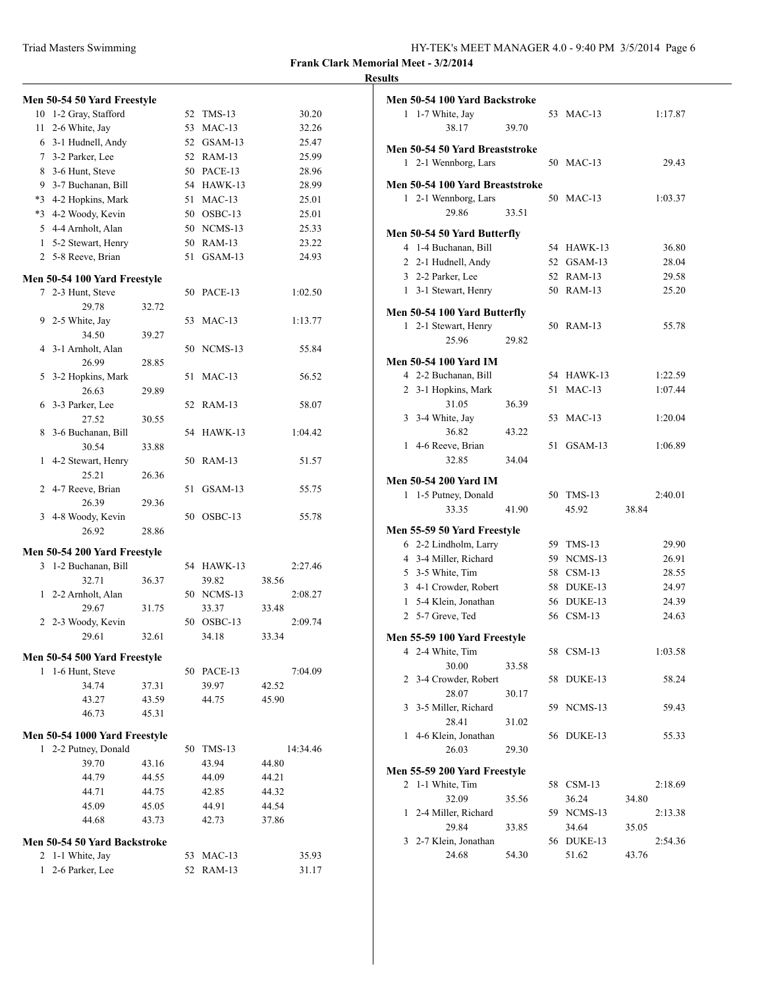| HY-TEK's MEET MANAGER 4.0 - 9:40 PM 3/5/2014 Page 6 |  |  |
|-----------------------------------------------------|--|--|
|-----------------------------------------------------|--|--|

## **Men 50-54 50 Yard Freestyle** 10 1-2 Gray, Stafford 52 TMS-13 30.20 11 2-6 White, Jay 53 MAC-13 32.26 6 3-1 Hudnell, Andy 52 GSAM-13 25.47 7 3-2 Parker, Lee 52 RAM-13 25.99 8 3-6 Hunt, Steve 50 PACE-13 28.96 9 3-7 Buchanan, Bill 54 HAWK-13 28.99 \*3 4-2 Hopkins, Mark 51 MAC-13 25.01 \*3 4-2 Woody, Kevin 50 OSBC-13 25.01 5 4-4 Arnholt, Alan 50 NCMS-13 25.33 1 5-2 Stewart, Henry 50 RAM-13 23.22 2 5-8 Reeve, Brian 51 GSAM-13 24.93 **Men 50-54 100 Yard Freestyle** 7 2-3 Hunt, Steve 50 PACE-13 1:02.50 29.78 32.72 9 2-5 White, Jay 53 MAC-13 1:13.77 34.50 39.27 4 3-1 Arnholt, Alan 50 NCMS-13 55.84 26.99 28.85 5 3-2 Hopkins, Mark 51 MAC-13 56.52 26.63 29.89 6 3-3 Parker, Lee 52 RAM-13 58.07 27.52 30.55 8 3-6 Buchanan, Bill 54 HAWK-13 1:04.42 30.54 33.88 1 4-2 Stewart, Henry 50 RAM-13 51.57 25.21 26.36 2 4-7 Reeve, Brian 51 GSAM-13 55.75 26.39 29.36 3 4-8 Woody, Kevin 50 OSBC-13 55.78 26.92 28.86 **Men 50-54 200 Yard Freestyle** 3 1-2 Buchanan, Bill 54 HAWK-13 2:27.46 32.71 36.37 39.82 38.56 1 2-2 Arnholt, Alan 50 NCMS-13 2:08.27 29.67 31.75 33.37 33.48 2 2-3 Woody, Kevin 50 OSBC-13 2:09.74 29.61 32.61 34.18 33.34 **Men 50-54 500 Yard Freestyle** 1 1-6 Hunt, Steve 50 PACE-13 7:04.09 34.74 37.31 39.97 42.52 43.27 43.59 44.75 45.90 46.73 45.31 **Men 50-54 1000 Yard Freestyle** 1 2-2 Putney, Donald 50 TMS-13 14:34.46 39.70 43.16 43.94 44.80 44.79 44.55 44.09 44.21 44.71 44.75 42.85 44.32 45.09 45.05 44.91 44.54 44.68 43.73 42.73 37.86 **Men 50-54 50 Yard Backstroke** 2 1-1 White, Jay 53 MAC-13 35.93 1 2-6 Parker, Lee 52 RAM-13 31.17

| Men 50-54 100 Yard Backstroke   |       |                     |                  |
|---------------------------------|-------|---------------------|------------------|
| 1 1-7 White, Jay                |       | 53 MAC-13           | 1:17.87          |
| 38.17                           | 39.70 |                     |                  |
| Men 50-54 50 Yard Breaststroke  |       |                     |                  |
| 1 2-1 Wennborg, Lars            |       | 50 MAC-13           | 29.43            |
|                                 |       |                     |                  |
| Men 50-54 100 Yard Breaststroke |       |                     |                  |
| 1 2-1 Wennborg, Lars            |       | 50 MAC-13           | 1:03.37          |
| 29.86                           | 33.51 |                     |                  |
| Men 50-54 50 Yard Butterfly     |       |                     |                  |
| 4 1-4 Buchanan, Bill            |       | 54 HAWK-13          | 36.80            |
| 2 2-1 Hudnell, Andy             |       | 52 GSAM-13          | 28.04            |
| 3 2-2 Parker, Lee               |       | 52 RAM-13           | 29.58            |
| 1 3-1 Stewart, Henry            |       | 50 RAM-13           | 25.20            |
|                                 |       |                     |                  |
| Men 50-54 100 Yard Butterfly    |       |                     |                  |
| 1 2-1 Stewart, Henry            |       | 50 RAM-13           | 55.78            |
| 25.96                           | 29.82 |                     |                  |
| <b>Men 50-54 100 Yard IM</b>    |       |                     |                  |
| 4 2-2 Buchanan, Bill            |       | 54 HAWK-13          | 1:22.59          |
| 2 3-1 Hopkins, Mark             |       | 51 MAC-13           | 1:07.44          |
| 31.05                           | 36.39 |                     |                  |
| 3 3-4 White, Jay                |       | 53 MAC-13           | 1:20.04          |
| 36.82                           | 43.22 |                     |                  |
| 1 4-6 Reeve, Brian              |       | 51 GSAM-13          | 1:06.89          |
| 32.85                           | 34.04 |                     |                  |
|                                 |       |                     |                  |
| <b>Men 50-54 200 Yard IM</b>    |       |                     |                  |
| 1 1-5 Putney, Donald            |       | 50 TMS-13           | 2:40.01          |
| 33.35                           | 41.90 | 45.92               | 38.84            |
| Men 55-59 50 Yard Freestyle     |       |                     |                  |
| 6 2-2 Lindholm, Larry           |       | 59 TMS-13           | 29.90            |
| 4 3-4 Miller, Richard           |       | 59 NCMS-13          | 26.91            |
| 5 3-5 White, Tim                |       | 58 CSM-13           | 28.55            |
| 3 4-1 Crowder, Robert           |       | 58 DUKE-13          | 24.97            |
| 1 5-4 Klein, Jonathan           |       | 56 DUKE-13          | 24.39            |
| 2 5-7 Greve, Ted                |       | 56 CSM-13           | 24.63            |
|                                 |       |                     |                  |
| Men 55-59 100 Yard Freestyle    |       |                     |                  |
| 4 2-4 White, Tim                |       | 58 CSM-13           | 1:03.58          |
| 30.00                           | 33.58 |                     |                  |
|                                 |       | 58 DUKE-13          | 58.24            |
| 2 3-4 Crowder, Robert           |       |                     |                  |
| 28.07                           | 30.17 |                     |                  |
| 3 3-5 Miller, Richard           |       | 59 NCMS-13          | 59.43            |
| 28.41                           | 31.02 |                     |                  |
| 1 4-6 Klein, Jonathan           |       | 56 DUKE-13          | 55.33            |
| 26.03                           | 29.30 |                     |                  |
|                                 |       |                     |                  |
| Men 55-59 200 Yard Freestyle    |       |                     |                  |
| 2 1-1 White, Tim                |       | 58 CSM-13           | 2:18.69          |
| 32.09                           | 35.56 | 36.24               | 34.80            |
| 1 2-4 Miller, Richard           |       | 59 NCMS-13          | 2:13.38          |
| 29.84                           | 33.85 | 34.64               | 35.05            |
| 3 2-7 Klein, Jonathan<br>24.68  | 54.30 | 56 DUKE-13<br>51.62 | 2:54.36<br>43.76 |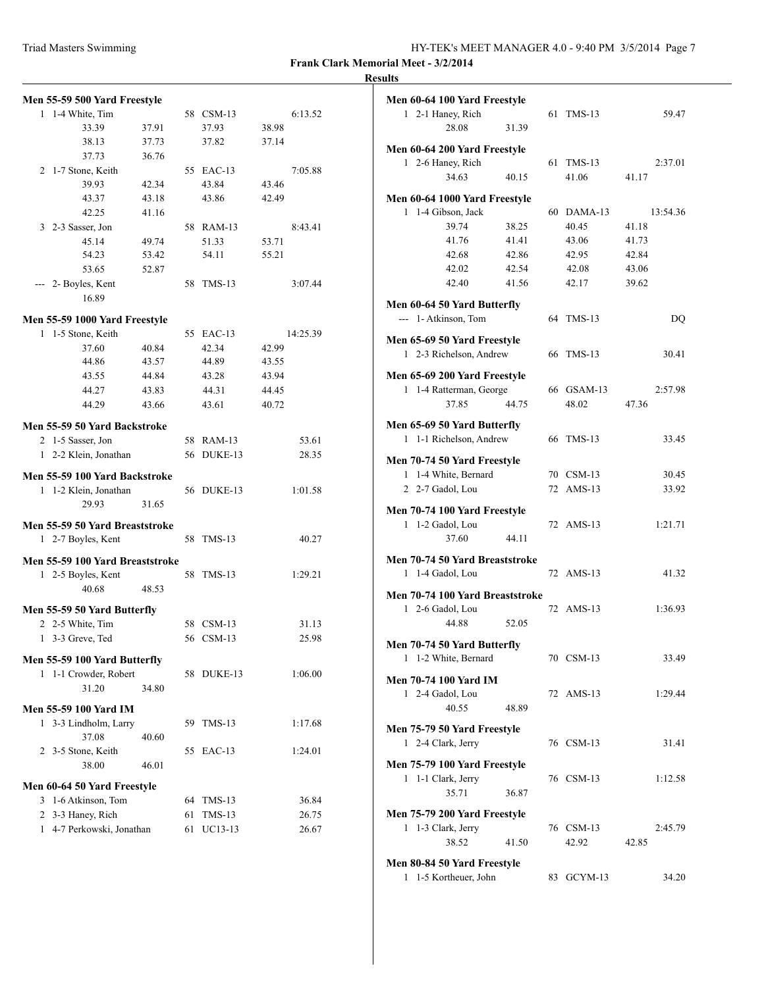| HY-TEK's MEET MANAGER 4.0 - 9:40 PM 3/5/2014 Page 7 |  |  |  |  |
|-----------------------------------------------------|--|--|--|--|
|-----------------------------------------------------|--|--|--|--|

## **Results**

| Men 55-59 500 Yard Freestyle                       |       |          |                     |                |  |  |
|----------------------------------------------------|-------|----------|---------------------|----------------|--|--|
| 1 1-4 White, Tim                                   |       |          | 58 CSM-13           | 6:13.52        |  |  |
| 33.39                                              | 37.91 |          | 37.93               | 38.98          |  |  |
| 38.13                                              | 37.73 |          | 37.82               | 37.14          |  |  |
| 37.73                                              | 36.76 |          |                     |                |  |  |
| 2 1-7 Stone, Keith                                 |       |          | 55 EAC-13           | 7:05.88        |  |  |
| 39.93                                              | 42.34 |          | 43.84               | 43.46          |  |  |
| 43.37                                              | 43.18 |          | 43.86               | 42.49          |  |  |
| 42.25                                              | 41.16 |          |                     |                |  |  |
| 3 2-3 Sasser, Jon                                  |       |          | 58 RAM-13           | 8:43.41        |  |  |
| 45.14                                              | 49.74 |          | 51.33               | 53.71          |  |  |
| 54.23                                              | 53.42 |          | 54.11               | 55.21          |  |  |
| 53.65                                              | 52.87 |          |                     |                |  |  |
| --- 2- Boyles, Kent                                |       |          | 58 TMS-13           | 3:07.44        |  |  |
| 16.89                                              |       |          |                     |                |  |  |
| Men 55-59 1000 Yard Freestyle                      |       |          |                     |                |  |  |
| 1 1-5 Stone, Keith                                 |       |          | 55 EAC-13           | 14:25.39       |  |  |
| 37.60                                              | 40.84 |          | 42.34               | 42.99          |  |  |
| 44.86                                              | 43.57 |          | 44.89               | 43.55          |  |  |
| 43.55                                              | 44.84 |          | 43.28               | 43.94          |  |  |
| 44.27                                              | 43.83 |          | 44.31               | 44.45          |  |  |
| 44.29                                              | 43.66 |          | 43.61               | 40.72          |  |  |
| Men 55-59 50 Yard Backstroke                       |       |          |                     |                |  |  |
| 2 1-5 Sasser, Jon                                  |       |          | 58 RAM-13           | 53.61          |  |  |
| 1 2-2 Klein, Jonathan                              |       |          | 56 DUKE-13          | 28.35          |  |  |
|                                                    |       |          |                     |                |  |  |
| Men 55-59 100 Yard Backstroke                      |       |          |                     |                |  |  |
|                                                    |       |          |                     |                |  |  |
| 1 1-2 Klein, Jonathan                              |       |          | 56 DUKE-13          | 1:01.58        |  |  |
| 29.93                                              | 31.65 |          |                     |                |  |  |
| Men 55-59 50 Yard Breaststroke                     |       |          |                     |                |  |  |
| 1 2-7 Boyles, Kent                                 |       |          | 58 TMS-13           | 40.27          |  |  |
| Men 55-59 100 Yard Breaststroke                    |       |          |                     |                |  |  |
| 1 2-5 Boyles, Kent                                 |       |          | 58 TMS-13           | 1:29.21        |  |  |
| 40.68                                              | 48.53 |          |                     |                |  |  |
|                                                    |       |          |                     |                |  |  |
| Men 55-59 50 Yard Butterfly                        |       |          |                     |                |  |  |
| 2 2-5 White, Tim                                   |       |          | 58 CSM-13           | 31.13          |  |  |
| 3-3 Greve, Ted<br>1                                |       |          | 56 CSM-13           | 25.98          |  |  |
| Men 55-59 100 Yard Butterfly                       |       |          |                     |                |  |  |
| 1 1-1 Crowder, Robert                              |       |          | 58 DUKE-13          | 1:06.00        |  |  |
| 31.20                                              | 34.80 |          |                     |                |  |  |
|                                                    |       |          |                     |                |  |  |
| <b>Men 55-59 100 Yard IM</b>                       |       |          |                     |                |  |  |
| 3-3 Lindholm, Larry<br>1<br>37.08                  | 40.60 | 59       | $TMS-13$            | 1:17.68        |  |  |
|                                                    |       | 55       |                     |                |  |  |
| 2 3-5 Stone, Keith<br>38.00                        | 46.01 |          | $EAC-13$            | 1:24.01        |  |  |
|                                                    |       |          |                     |                |  |  |
| Men 60-64 50 Yard Freestyle                        |       |          |                     |                |  |  |
| 3 1-6 Atkinson, Tom                                |       | 64       | <b>TMS-13</b>       | 36.84          |  |  |
| 2 3-3 Haney, Rich<br>4-7 Perkowski, Jonathan<br>1. |       | 61<br>61 | $TMS-13$<br>UC13-13 | 26.75<br>26.67 |  |  |

|   | Men 60-64 100 Yard Freestyle    |       |    |            |          |
|---|---------------------------------|-------|----|------------|----------|
|   | 1 2-1 Haney, Rich               |       | 61 | $TMS-13$   | 59.47    |
|   | 28.08                           | 31.39 |    |            |          |
|   |                                 |       |    |            |          |
|   | Men 60-64 200 Yard Freestyle    |       |    |            |          |
|   | 1 2-6 Haney, Rich               |       | 61 | $TMS-13$   | 2:37.01  |
|   | 34.63                           | 40.15 |    | 41.06      | 41.17    |
|   | Men 60-64 1000 Yard Freestyle   |       |    |            |          |
| 1 | 1-4 Gibson, Jack                |       |    | 60 DAMA-13 | 13:54.36 |
|   | 39.74                           | 38.25 |    | 40.45      | 41.18    |
|   | 41.76                           | 41.41 |    | 43.06      | 41.73    |
|   | 42.68                           | 42.86 |    | 42.95      | 42.84    |
|   | 42.02                           | 42.54 |    |            | 43.06    |
|   |                                 |       |    | 42.08      |          |
|   | 42.40                           | 41.56 |    | 42.17      | 39.62    |
|   | Men 60-64 50 Yard Butterfly     |       |    |            |          |
|   | --- 1- Atkinson, Tom            |       |    | 64 TMS-13  | DQ       |
|   |                                 |       |    |            |          |
|   | Men 65-69 50 Yard Freestyle     |       |    |            |          |
|   | 1 2-3 Richelson, Andrew         |       |    | 66 TMS-13  | 30.41    |
|   | Men 65-69 200 Yard Freestyle    |       |    |            |          |
|   | 1 1-4 Ratterman, George         |       |    | 66 GSAM-13 | 2:57.98  |
|   | 37.85                           | 44.75 |    |            |          |
|   |                                 |       |    | 48.02      | 47.36    |
|   | Men 65-69 50 Yard Butterfly     |       |    |            |          |
|   | 1 1-1 Richelson, Andrew         |       |    | 66 TMS-13  | 33.45    |
|   |                                 |       |    |            |          |
|   | Men 70-74 50 Yard Freestyle     |       |    |            |          |
|   | 1 1-4 White, Bernard            |       |    | 70 CSM-13  | 30.45    |
|   | 2 2-7 Gadol, Lou                |       |    | 72 AMS-13  | 33.92    |
|   | Men 70-74 100 Yard Freestyle    |       |    |            |          |
|   |                                 |       |    | 72 AMS-13  |          |
|   | 1 1-2 Gadol, Lou                |       |    |            | 1:21.71  |
|   | 37.60                           | 44.11 |    |            |          |
|   | Men 70-74 50 Yard Breaststroke  |       |    |            |          |
|   | 1 1-4 Gadol, Lou                |       |    | 72 AMS-13  | 41.32    |
|   |                                 |       |    |            |          |
|   | Men 70-74 100 Yard Breaststroke |       |    |            |          |
|   | 1 2-6 Gadol, Lou                |       |    | 72 AMS-13  | 1:36.93  |
|   | 44.88                           | 52.05 |    |            |          |
|   | Men 70-74 50 Yard Butterfly     |       |    |            |          |
| 1 | 1-2 White, Bernard              |       |    | 70 CSM-13  | 33.49    |
|   |                                 |       |    |            |          |
|   | <b>Men 70-74 100 Yard IM</b>    |       |    |            |          |
|   | 1 2-4 Gadol, Lou                |       |    | 72 AMS-13  | 1:29.44  |
|   | 40.55                           | 48.89 |    |            |          |
|   |                                 |       |    |            |          |
|   | Men 75-79 50 Yard Freestyle     |       |    |            |          |
|   | 1 2-4 Clark, Jerry              |       |    | 76 CSM-13  | 31.41    |
|   | Men 75-79 100 Yard Freestyle    |       |    |            |          |
|   | 1 1-1 Clark, Jerry              |       |    | 76 CSM-13  | 1:12.58  |
|   | 35.71                           |       |    |            |          |
|   |                                 | 36.87 |    |            |          |
|   | Men 75-79 200 Yard Freestyle    |       |    |            |          |
|   | 1 1-3 Clark, Jerry              |       |    | 76 CSM-13  | 2:45.79  |
|   | 38.52                           | 41.50 |    | 42.92      | 42.85    |
|   |                                 |       |    |            |          |
|   | Men 80-84 50 Yard Freestyle     |       |    |            |          |
|   | 1 1-5 Kortheuer, John           |       |    | 83 GCYM-13 | 34.20    |
|   |                                 |       |    |            |          |